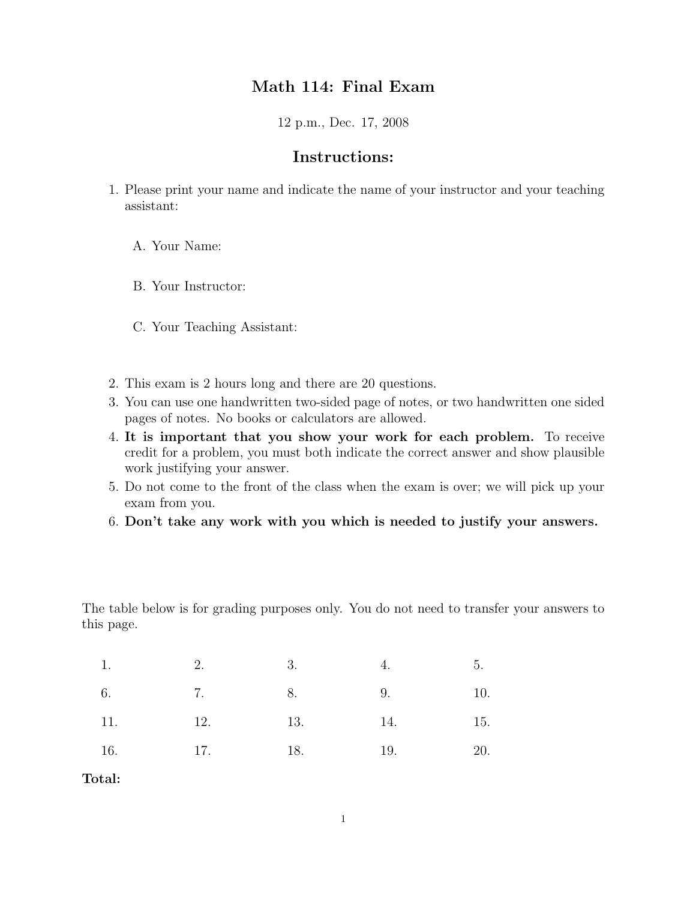## Math 114: Final Exam

12 p.m., Dec. 17, 2008

## Instructions:

- 1. Please print your name and indicate the name of your instructor and your teaching assistant:
	- A. Your Name:
	- B. Your Instructor:
	- C. Your Teaching Assistant:
- 2. This exam is 2 hours long and there are 20 questions.
- 3. You can use one handwritten two-sided page of notes, or two handwritten one sided pages of notes. No books or calculators are allowed.
- 4. It is important that you show your work for each problem. To receive credit for a problem, you must both indicate the correct answer and show plausible work justifying your answer.
- 5. Do not come to the front of the class when the exam is over; we will pick up your exam from you.
- 6. Don't take any work with you which is needed to justify your answers.

The table below is for grading purposes only. You do not need to transfer your answers to this page.

| 1.         | 2.        | 3.  | 4.  | 5.  |
|------------|-----------|-----|-----|-----|
| 6.         | 7. 8.     |     | 9.  | 10. |
| 11.<br>12. |           | 13. | 14. | 15. |
| 16.        | $17.$ 18. | 19. |     | 20. |

Total: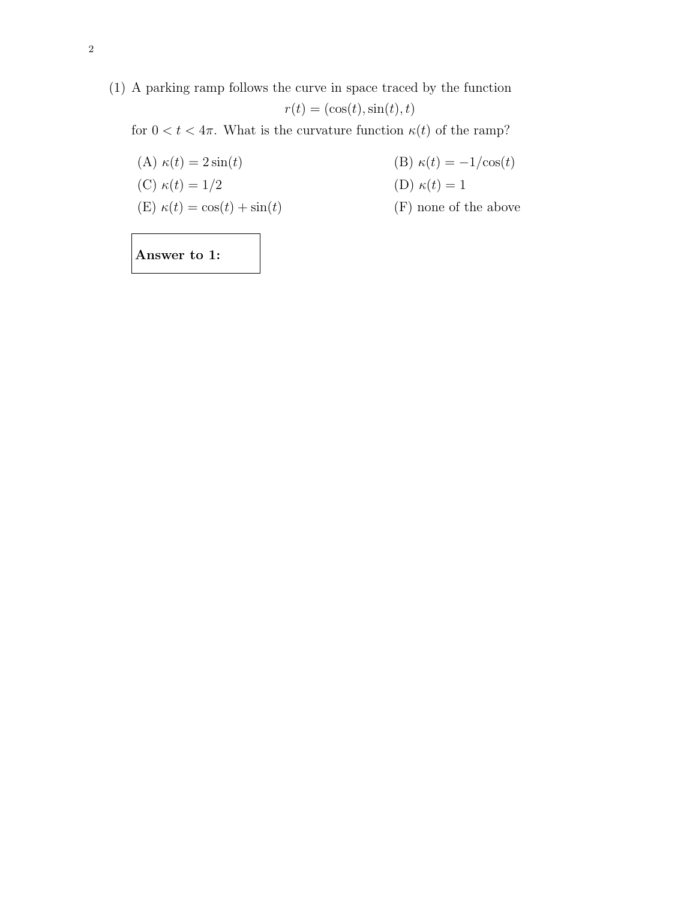(1) A parking ramp follows the curve in space traced by the function  $r(t) = (\cos(t), \sin(t), t)$ 

for  $0 < t < 4\pi$ . What is the curvature function  $\kappa(t)$  of the ramp?

(A)  $\kappa(t) = 2\sin(t)$  (B)  $\kappa(t) = -1/\cos(t)$ (C)  $\kappa(t) = 1/2$  (D)  $\kappa(t) = 1$ (E)  $\kappa(t) = \cos(t) + \sin(t)$  (F) none of the above

Answer to 1: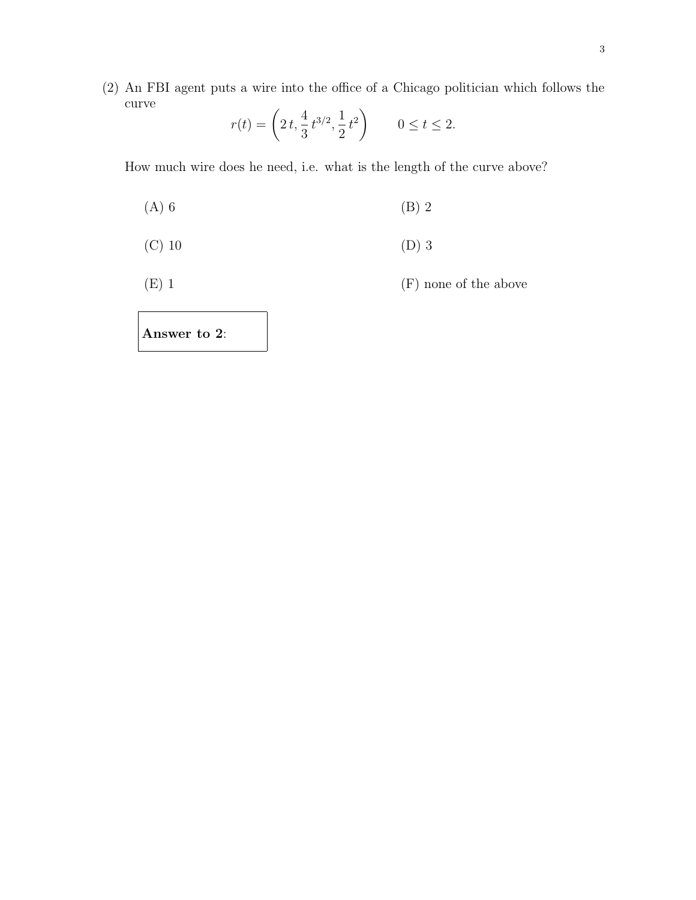(2) An FBI agent puts a wire into the office of a Chicago politician which follows the curve !

$$
r(t) = \left(2t, \frac{4}{3}t^{3/2}, \frac{1}{2}t^2\right) \qquad 0 \le t \le 2.
$$

How much wire does he need, i.e. what is the length of the curve above?

- $(A) 6$  (B) 2
- (C) 10 (D) 3

(E) 1 (F) none of the above

Answer to 2: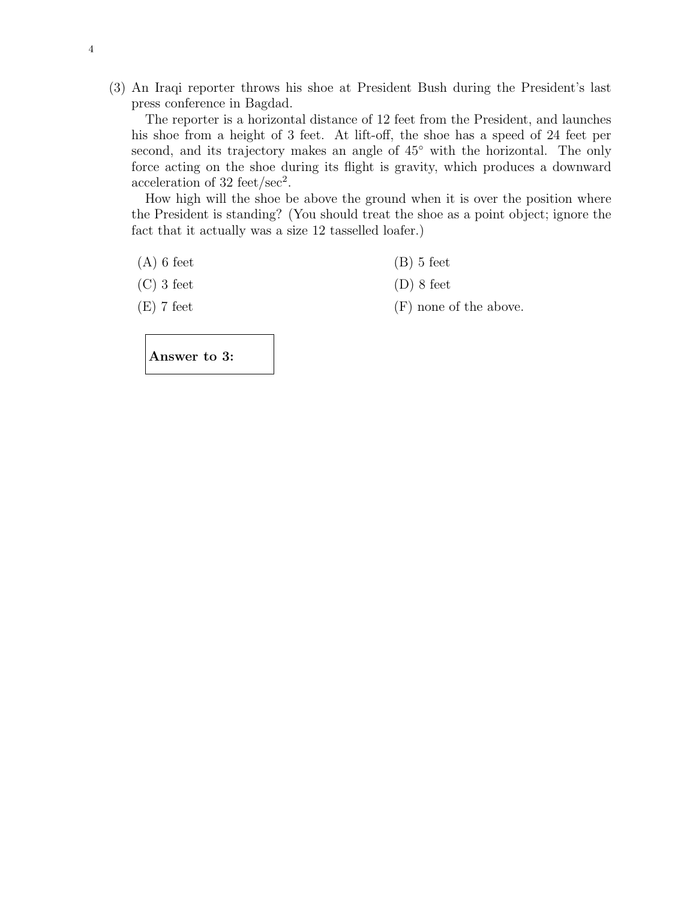(3) An Iraqi reporter throws his shoe at President Bush during the President's last press conference in Bagdad.

The reporter is a horizontal distance of 12 feet from the President, and launches his shoe from a height of 3 feet. At lift-off, the shoe has a speed of 24 feet per second, and its trajectory makes an angle of  $45°$  with the horizontal. The only force acting on the shoe during its flight is gravity, which produces a downward acceleration of 32 feet/sec<sup>2</sup>.

How high will the shoe be above the ground when it is over the position where the President is standing? (You should treat the shoe as a point object; ignore the fact that it actually was a size 12 tasselled loafer.)

 $(A)$  6 feet (B) 5 feet

 $(C)$  3 feet  $(D)$  8 feet

 $(E)$  7 feet (F) none of the above.

Answer to 3: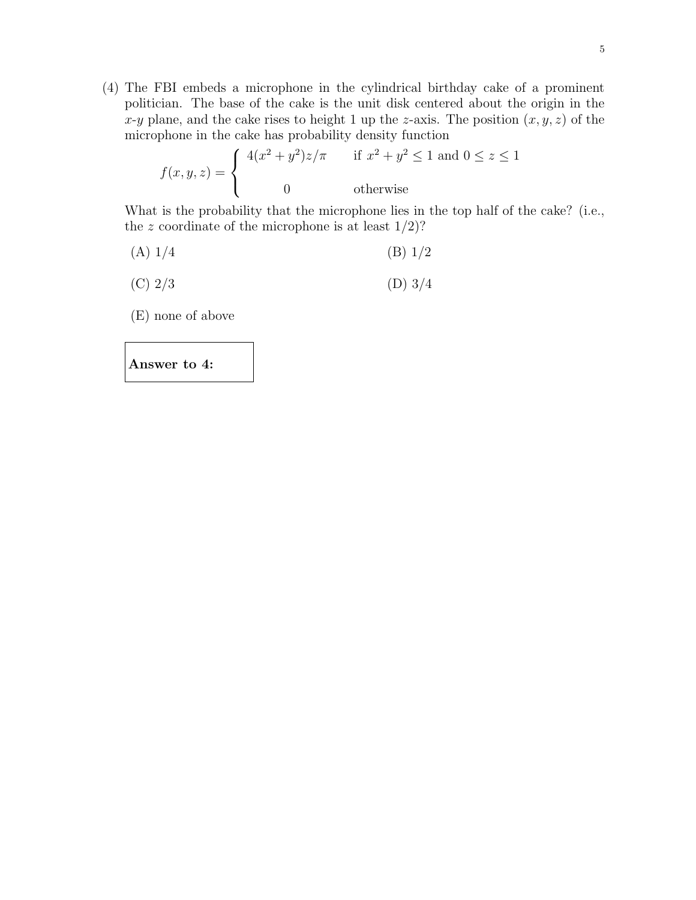(4) The FBI embeds a microphone in the cylindrical birthday cake of a prominent politician. The base of the cake is the unit disk centered about the origin in the x-y plane, and the cake rises to height 1 up the z-axis. The position  $(x, y, z)$  of the microphone in the cake has probability density function

$$
f(x, y, z) = \begin{cases} 4(x^2 + y^2)z/\pi & \text{if } x^2 + y^2 \le 1 \text{ and } 0 \le z \le 1 \\ 0 & \text{otherwise} \end{cases}
$$

What is the probability that the microphone lies in the top half of the cake? (i.e., the z coordinate of the microphone is at least  $1/2$ ?

- (A)  $1/4$  (B)  $1/2$
- (C)  $2/3$  (D)  $3/4$

(E) none of above

Answer to 4: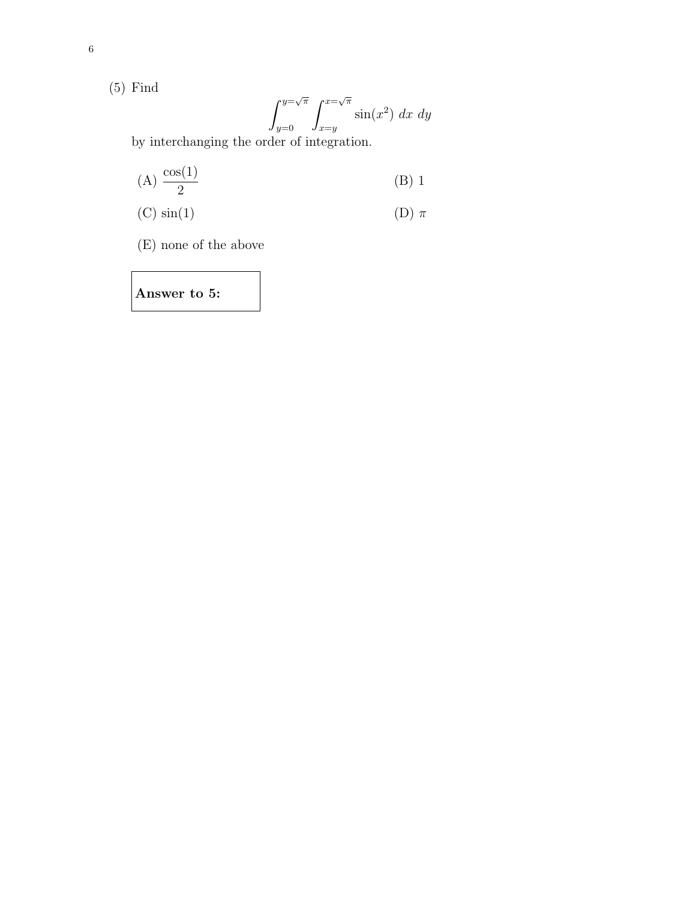(5) Find

$$
\int_{y=0}^{y=\sqrt{\pi}} \int_{x=y}^{x=\sqrt{\pi}} \sin(x^2) dx dy
$$

by interchanging the order of integration.

$$
(A) \frac{\cos(1)}{2} \tag{B) 1}
$$

(C) 
$$
sin(1)
$$
 (D)  $\pi$ 

(E) none of the above

Answer to 5: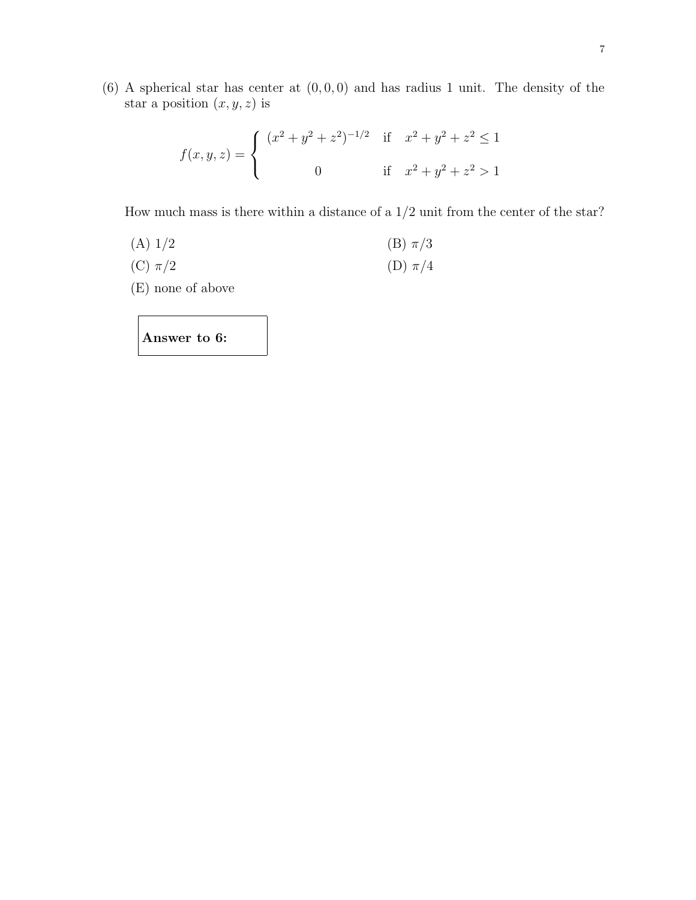$(6)$  A spherical star has center at  $(0, 0, 0)$  and has radius 1 unit. The density of the star a position  $(x, y, z)$  is

$$
f(x, y, z) = \begin{cases} (x^2 + y^2 + z^2)^{-1/2} & \text{if } x^2 + y^2 + z^2 \le 1 \\ 0 & \text{if } x^2 + y^2 + z^2 > 1 \end{cases}
$$

How much mass is there within a distance of a  $1/2$  unit from the center of the star?

- (A)  $1/2$  (B)  $\pi/3$
- (C)  $\pi/2$  (D)  $\pi/4$
- (E) none of above

Answer to 6: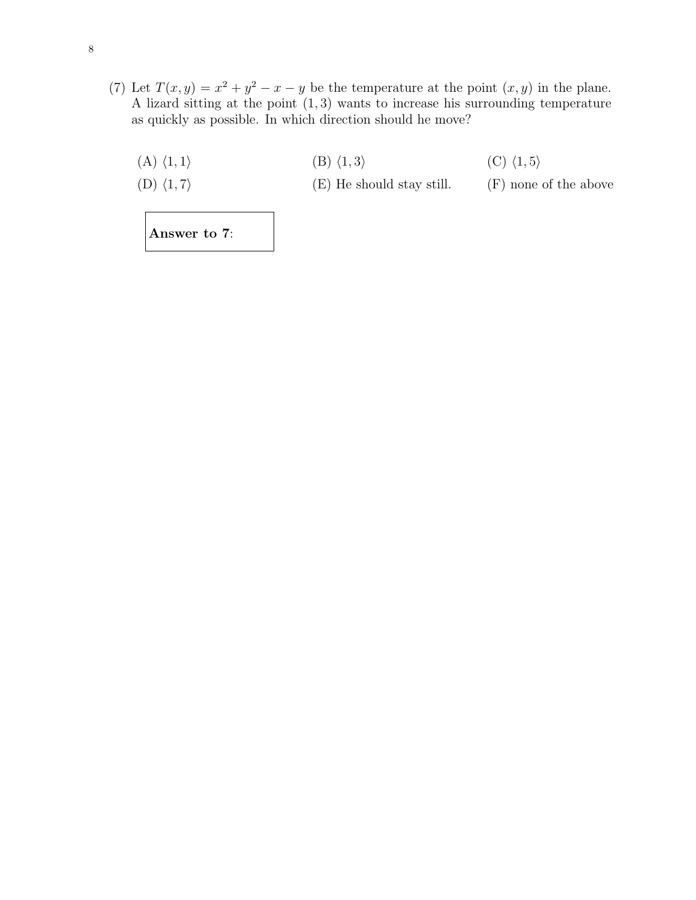(7) Let  $T(x, y) = x^2 + y^2 - x - y$  be the temperature at the point  $(x, y)$  in the plane. A lizard sitting at the point (1, 3) wants to increase his surrounding temperature as quickly as possible. In which direction should he move?

| $(A) \langle 1, 1 \rangle$ | $(B)$ $\langle 1, 3 \rangle$ | $(C)$ $\langle 1, 5 \rangle$ |
|----------------------------|------------------------------|------------------------------|
| $(D) \langle 1, 7 \rangle$ | (E) He should stay still.    | (F) none of the above        |
|                            |                              |                              |

Answer to 7: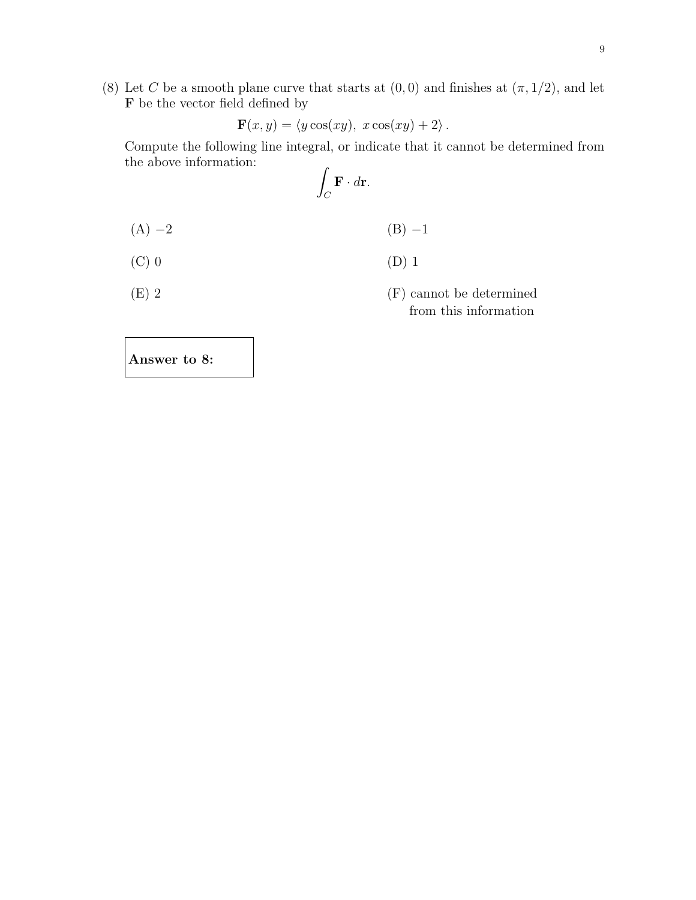(8) Let C be a smooth plane curve that starts at  $(0,0)$  and finishes at  $(\pi,1/2)$ , and let  ${\bf F}$  be the vector field defined by

$$
\mathbf{F}(x,y) = \langle y \cos(xy), x \cos(xy) + 2 \rangle.
$$

Compute the following line integral, or indicate that it cannot be determined from the above information:

$$
\int_C \mathbf{F} \cdot d\mathbf{r}.
$$

- $(A) -2$  (B) −1
- $(C) 0$  (D) 1
- (E) 2 (F) cannot be determined from this information

Answer to 8: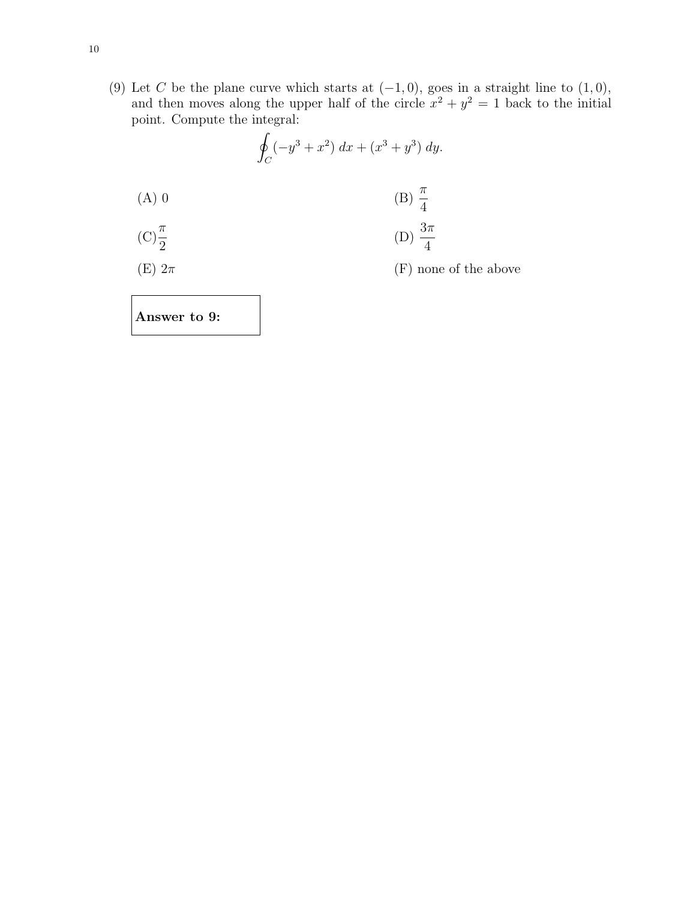(9) Let C be the plane curve which starts at  $(-1, 0)$ , goes in a straight line to  $(1, 0)$ , and then moves along the upper half of the circle  $x^2 + y^2 = 1$  back to the initial point. Compute the integral:

$$
\oint_C (-y^3 + x^2) \, dx + (x^3 + y^3) \, dy.
$$

(A) 0 (B)  $\frac{\pi}{4}$ 4  $(C)\frac{\pi}{2}$  $\frac{\pi}{2}$  (D)  $\frac{3\pi}{4}$ 

(E)  $2\pi$  (F) none of the above

Answer to 9: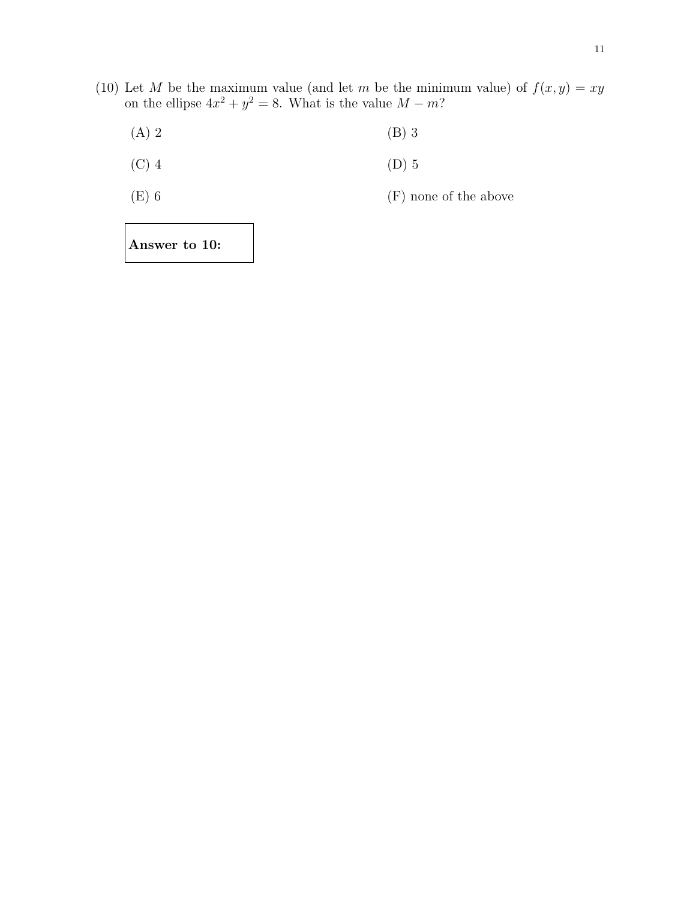- (10) Let M be the maximum value (and let m be the minimum value) of  $f(x, y) = xy$ on the ellipse  $4x^2 + y^2 = 8$ . What is the value  $M - m$ ?
	- (A) 2 (B) 3
	- (C) 4 (D) 5
	- (E) 6 (F) none of the above

Answer to 10: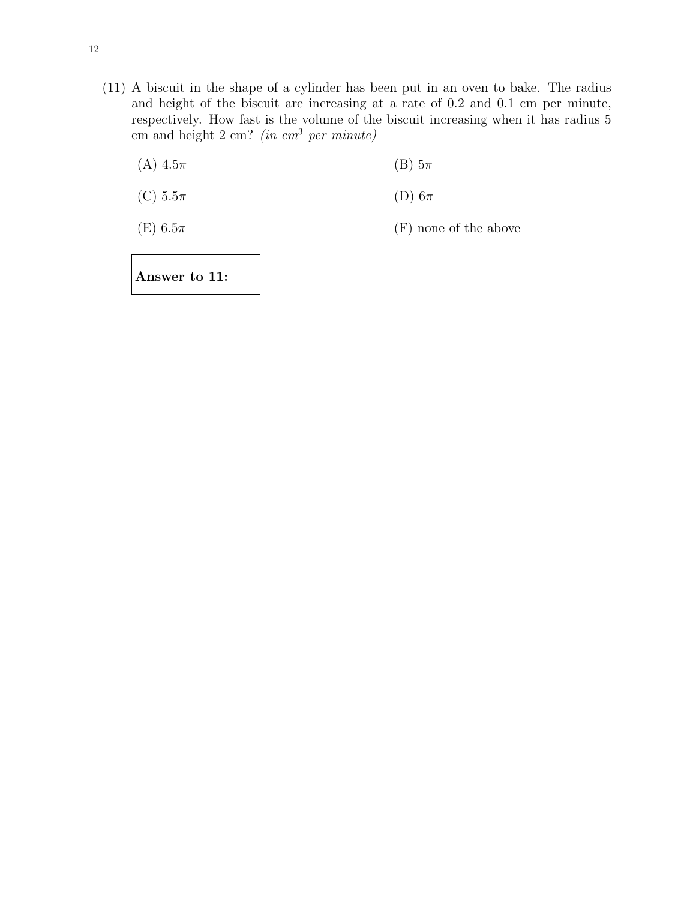(11) A biscuit in the shape of a cylinder has been put in an oven to bake. The radius and height of the biscuit are increasing at a rate of 0.2 and 0.1 cm per minute, respectively. How fast is the volume of the biscuit increasing when it has radius 5 cm and height  $2 \text{ cm}$ ? (in cm<sup>3</sup> per minute)

(A)  $4.5\pi$  (B)  $5\pi$ 

(C)  $5.5\pi$  (D)  $6\pi$ 

(E)  $6.5\pi$  (F) none of the above

Answer to 11: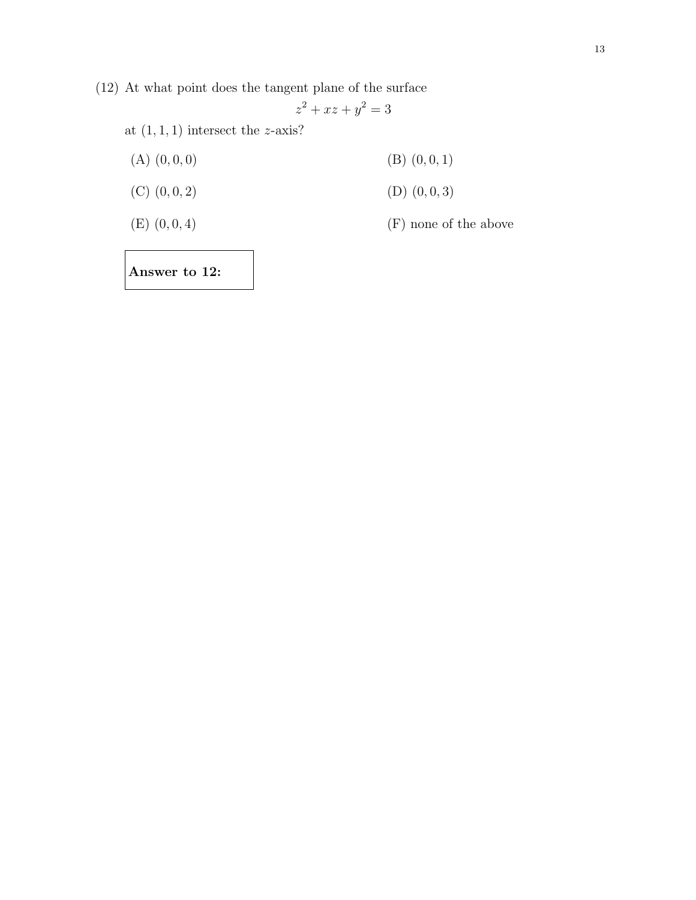(12) At what point does the tangent plane of the surface

$$
z^2 + xz + y^2 = 3
$$

at  $(1, 1, 1)$  intersect the z-axis?

| $(A)$ $(0,0,0)$ | $(B)$ $(0,0,1)$       |
|-----------------|-----------------------|
| $(C)$ $(0,0,2)$ | $(D)$ $(0, 0, 3)$     |
| $(E)$ $(0,0,4)$ | (F) none of the above |
|                 |                       |

Answer to 12: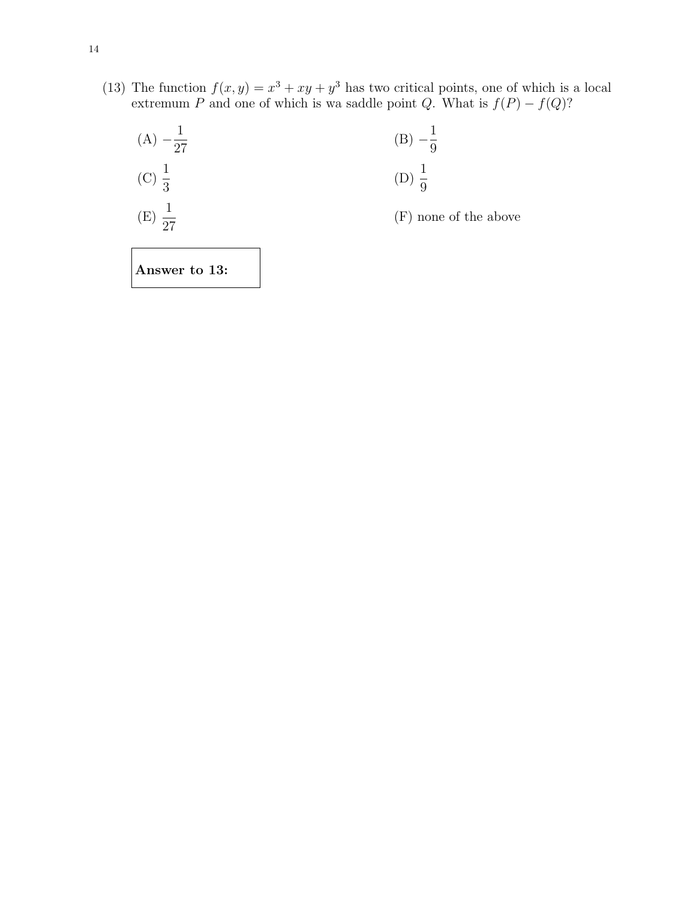(13) The function  $f(x, y) = x^3 + xy + y^3$  has two critical points, one of which is a local extremum P and one of which is wa saddle point Q. What is  $f(P) - f(Q)$ ?



Answer to 13: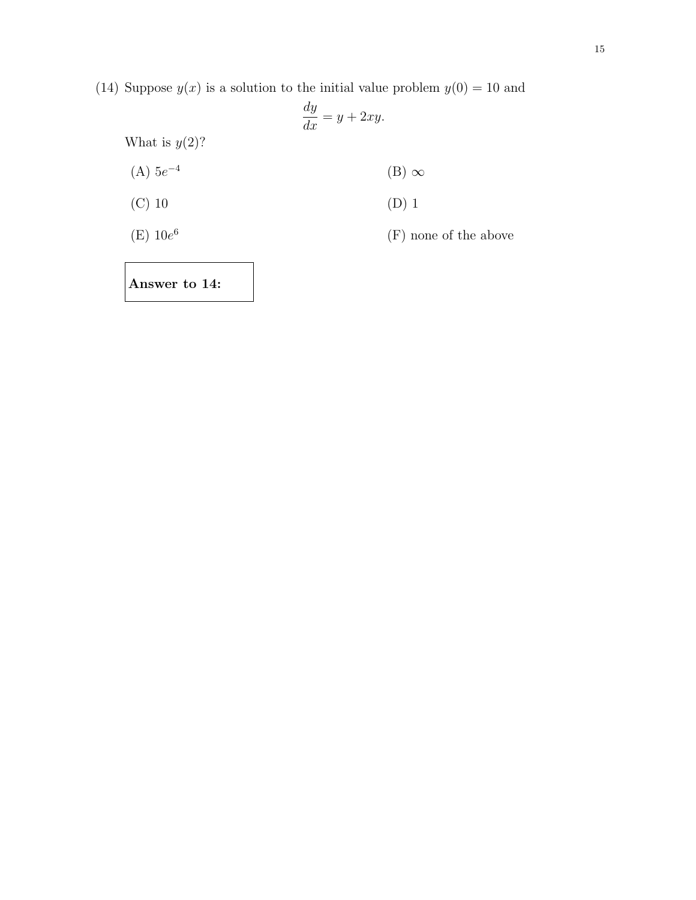(14) Suppose  $y(x)$  is a solution to the initial value problem  $y(0) = 10$  and

$$
\frac{dy}{dx} = y + 2xy.
$$
  
What is  $y(2)$ ?  
(A)  $5e^{-4}$   
(B)  $\infty$   
(C) 10  
(D) 1  
(E)  $10e^{6}$   
(F) none of the above

Answer to 14: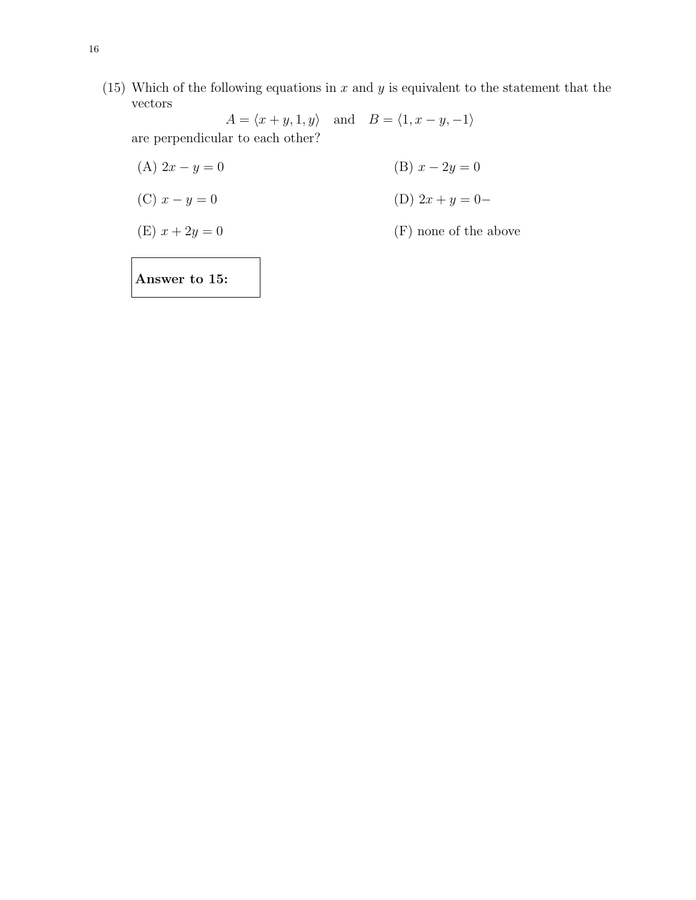(15) Which of the following equations in  $x$  and  $y$  is equivalent to the statement that the vectors

 $A = \langle x+y,1,y \rangle \quad \text{and} \quad B = \langle 1, x-y,-1 \rangle$ are perpendicular to each other?

(A)  $2x - y = 0$  (B)  $x - 2y = 0$ (C)  $x - y = 0$  (D)  $2x + y = 0$ (E)  $x + 2y = 0$  (F) none of the above

Answer to 15: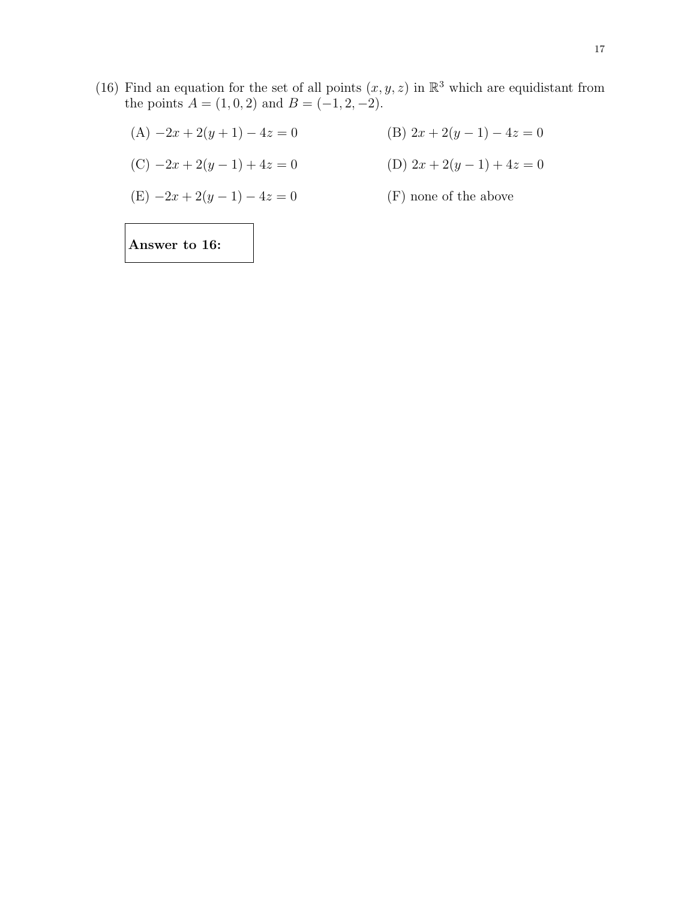- (16) Find an equation for the set of all points  $(x, y, z)$  in  $\mathbb{R}^3$  which are equidistant from the points  $A = (1, 0, 2)$  and  $B = (-1, 2, -2)$ .
	- (A)  $-2x + 2(y+1) 4z = 0$  (B)  $2x + 2(y-1) 4z = 0$
	- (C)  $-2x + 2(y 1) + 4z = 0$  (D)  $2x + 2(y 1) + 4z = 0$

$$
(E) -2x + 2(y - 1) - 4z = 0
$$

 $(F)$  none of the above

Answer to 16: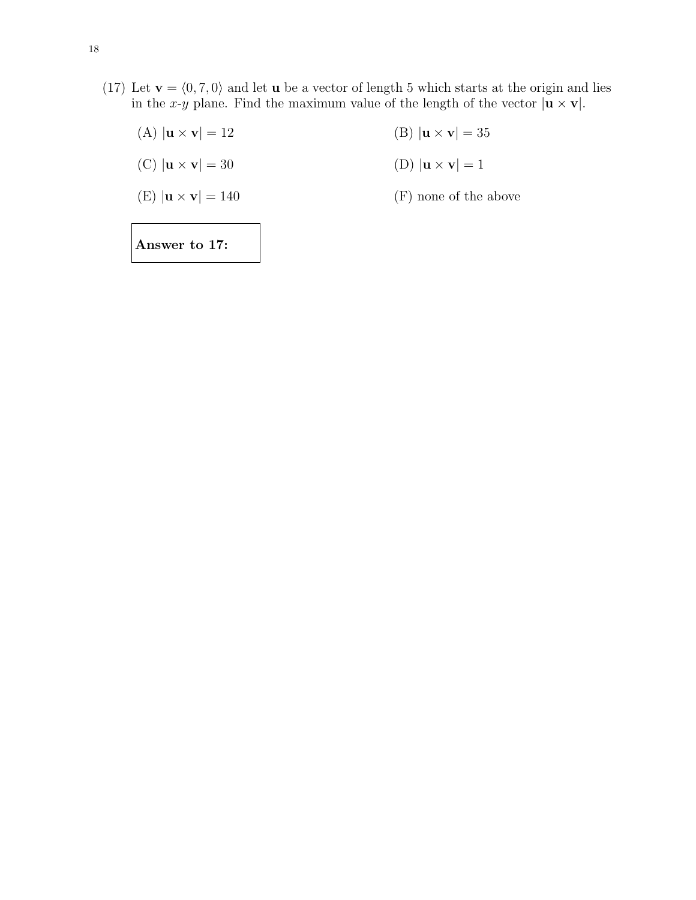(17) Let  $\mathbf{v} = \langle 0, 7, 0 \rangle$  and let **u** be a vector of length 5 which starts at the origin and lies in the x-y plane. Find the maximum value of the length of the vector  $|\mathbf{u} \times \mathbf{v}|$ .

| Answer to 17:                                |                                          |
|----------------------------------------------|------------------------------------------|
| $(E)$ $ \mathbf{u} \times \mathbf{v}  = 140$ | (F) none of the above                    |
| $(C)$ $ \mathbf{u} \times \mathbf{v}  = 30$  | (D) $ \mathbf{u} \times \mathbf{v}  = 1$ |
| $(A)$ $ \mathbf{u} \times \mathbf{v}  = 12$  | (B) $ {\bf u} \times {\bf v}  = 35$      |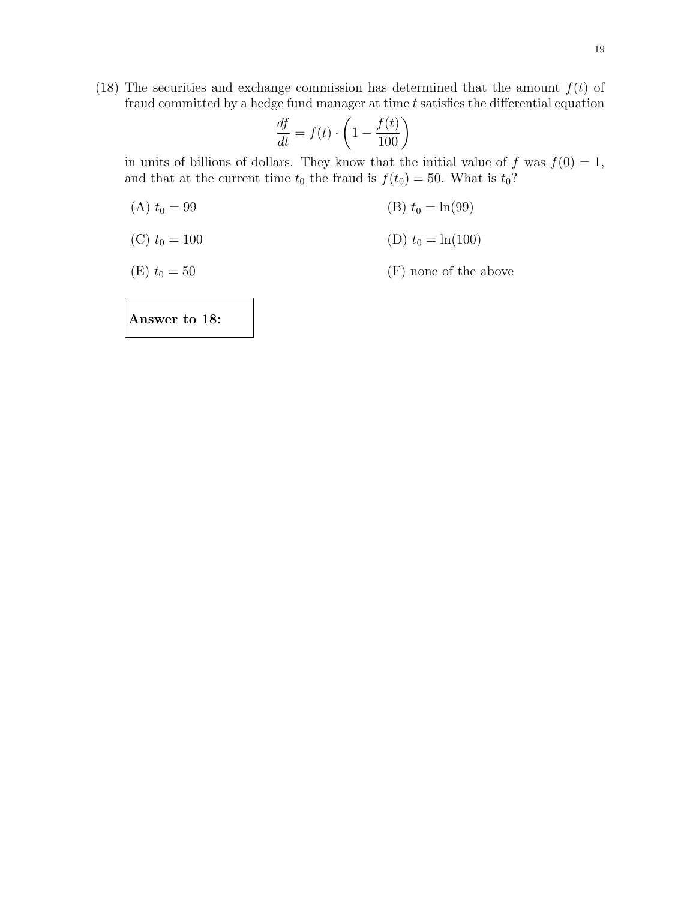(18) The securities and exchange commission has determined that the amount  $f(t)$  of fraud committed by a hedge fund manager at time  $t$  satisfies the differential equation

$$
\frac{df}{dt} = f(t) \cdot \left(1 - \frac{f(t)}{100}\right)
$$

in units of billions of dollars. They know that the initial value of f was  $f(0) = 1$ , and that at the current time  $t_0$  the fraud is  $f(t_0) = 50$ . What is  $t_0$ ?

(A)  $t_0 = 99$  (B)  $t_0 = \ln(99)$ 

(C) 
$$
t_0 = 100
$$
 (D)  $t_0 = \ln(100)$ 

(E)  $t_0 = 50$  (F) none of the above

Answer to 18: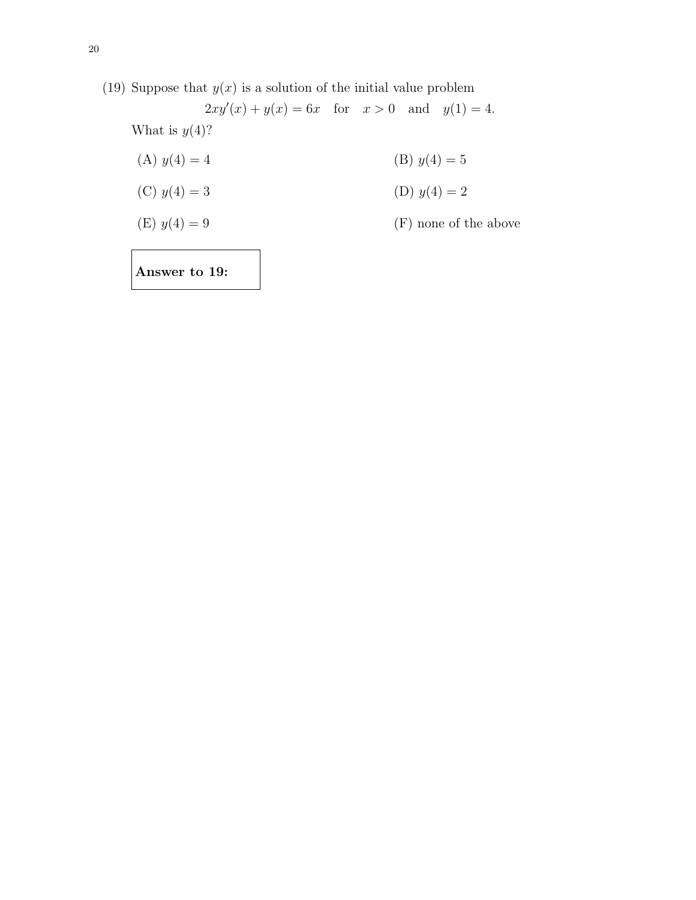(19) Suppose that  $y(x)$  is a solution of the initial value problem  $2xy'(x) + y(x) = 6x$  for  $x > 0$  and  $y(1) = 4$ . What is  $y(4)$ ? (A)  $y(4) = 4$  (B)  $y(4) = 5$ (C)  $y(4) = 3$  (D)  $y(4) = 2$ (E)  $y(4) = 9$  (F) none of the above

Answer to 19: